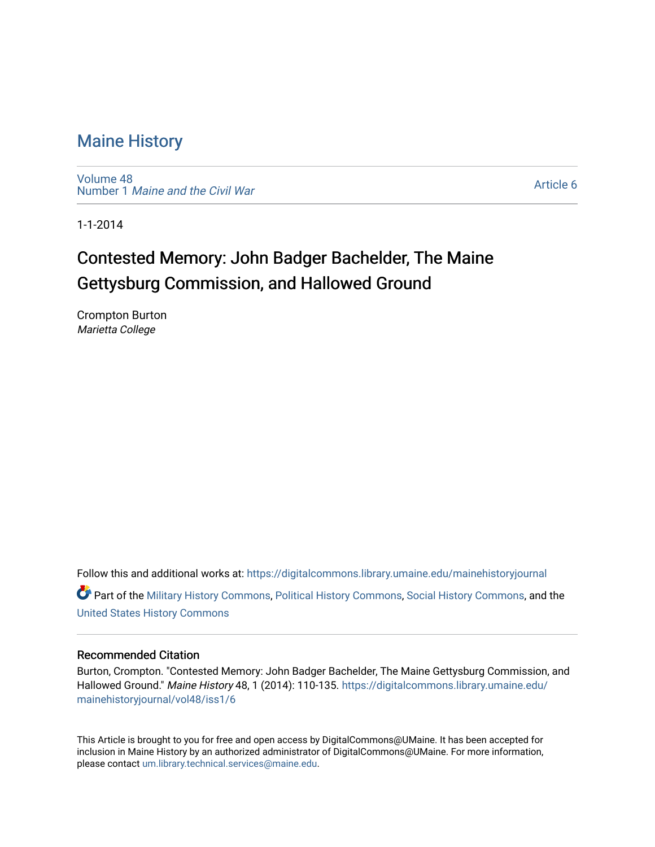[Volume 48](https://digitalcommons.library.umaine.edu/mainehistoryjournal/vol48) Number 1 [Maine and the Civil War](https://digitalcommons.library.umaine.edu/mainehistoryjournal/vol48/iss1)

[Article 6](https://digitalcommons.library.umaine.edu/mainehistoryjournal/vol48/iss1/6) 

1-1-2014

# Contested Memory: John Badger Bachelder, The Maine Gettysburg Commission, and Hallowed Ground

Crompton Burton Marietta College

Follow this and additional works at: [https://digitalcommons.library.umaine.edu/mainehistoryjournal](https://digitalcommons.library.umaine.edu/mainehistoryjournal?utm_source=digitalcommons.library.umaine.edu%2Fmainehistoryjournal%2Fvol48%2Fiss1%2F6&utm_medium=PDF&utm_campaign=PDFCoverPages)  Part of the [Military History Commons](http://network.bepress.com/hgg/discipline/504?utm_source=digitalcommons.library.umaine.edu%2Fmainehistoryjournal%2Fvol48%2Fiss1%2F6&utm_medium=PDF&utm_campaign=PDFCoverPages), [Political History Commons,](http://network.bepress.com/hgg/discipline/505?utm_source=digitalcommons.library.umaine.edu%2Fmainehistoryjournal%2Fvol48%2Fiss1%2F6&utm_medium=PDF&utm_campaign=PDFCoverPages) [Social History Commons](http://network.bepress.com/hgg/discipline/506?utm_source=digitalcommons.library.umaine.edu%2Fmainehistoryjournal%2Fvol48%2Fiss1%2F6&utm_medium=PDF&utm_campaign=PDFCoverPages), and the [United States History Commons](http://network.bepress.com/hgg/discipline/495?utm_source=digitalcommons.library.umaine.edu%2Fmainehistoryjournal%2Fvol48%2Fiss1%2F6&utm_medium=PDF&utm_campaign=PDFCoverPages)

### Recommended Citation

Burton, Crompton. "Contested Memory: John Badger Bachelder, The Maine Gettysburg Commission, and Hallowed Ground." Maine History 48, 1 (2014): 110-135. [https://digitalcommons.library.umaine.edu/](https://digitalcommons.library.umaine.edu/mainehistoryjournal/vol48/iss1/6?utm_source=digitalcommons.library.umaine.edu%2Fmainehistoryjournal%2Fvol48%2Fiss1%2F6&utm_medium=PDF&utm_campaign=PDFCoverPages) [mainehistoryjournal/vol48/iss1/6](https://digitalcommons.library.umaine.edu/mainehistoryjournal/vol48/iss1/6?utm_source=digitalcommons.library.umaine.edu%2Fmainehistoryjournal%2Fvol48%2Fiss1%2F6&utm_medium=PDF&utm_campaign=PDFCoverPages)

This Article is brought to you for free and open access by DigitalCommons@UMaine. It has been accepted for inclusion in Maine History by an authorized administrator of DigitalCommons@UMaine. For more information, please contact [um.library.technical.services@maine.edu.](mailto:um.library.technical.services@maine.edu)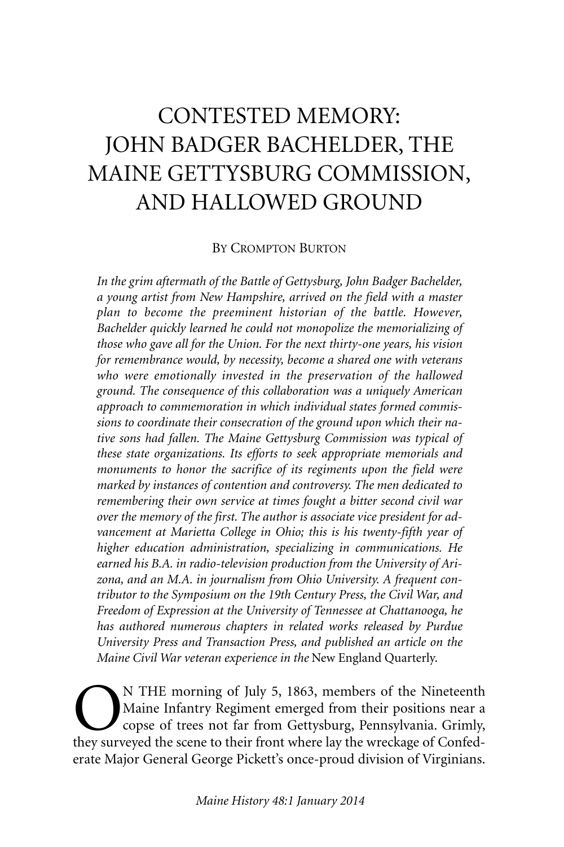# CONTESTED MEMORY: JOHN BADGER BACHELDER, THE MAINE GETTYSBURG COMMISSION, AND HALLOWED GROUND

#### BY CROMPTON BURTON

*In the grim aftermath of the Battle of Gettysburg, John Badger Bachelder, a young artist from New Hampshire, arrived on the field with a master plan to become the preeminent historian of the battle. However, Bachelder quickly learned he could not monopolize the memorializing of those who gave all for the Union. For the next thirty-one years, his vision for remembrance would, by necessity, become a shared one with veterans who were emotionally invested in the preservation of the hallowed ground. The consequence of this collaboration was a uniquely American approach to commemoration in which individual states formed commissions to coordinate their consecration of the ground upon which their native sons had fallen. The Maine Gettysburg Commission was typical of these state organizations. Its efforts to seek appropriate memorials and monuments to honor the sacrifice of its regiments upon the field were marked by instances of contention and controversy. The men dedicated to remembering their own service at times fought a bitter second civil war over the memory of the first. The author is associate vice president for advancement at Marietta College in Ohio; this is his twenty-fifth year of higher education administration, specializing in communications. He earned his B.A. in radio-television production from the University of Arizona, and an M.A. in journalism from Ohio University. A frequent contributor to the Symposium on the 19th Century Press, the Civil War, and Freedom of Expression at the University of Tennessee at Chattanooga, he has authored numerous chapters in related works released by Purdue University Press and Transaction Press, and published an article on the Maine Civil War veteran experience in the* New England Quarterly.

**ON** THE morning of July 5, 1863, members of the Nineteenth<br>Maine Infantry Regiment emerged from their positions near a<br>copse of trees not far from Gettysburg, Pennsylvania. Grimly,<br>they surveyed the scene to their front w Maine Infantry Regiment emerged from their positions near a copse of trees not far from Gettysburg, Pennsylvania. Grimly, they surveyed the scene to their front where lay the wreckage of Confederate Major General George Pickett's once-proud division of Virginians.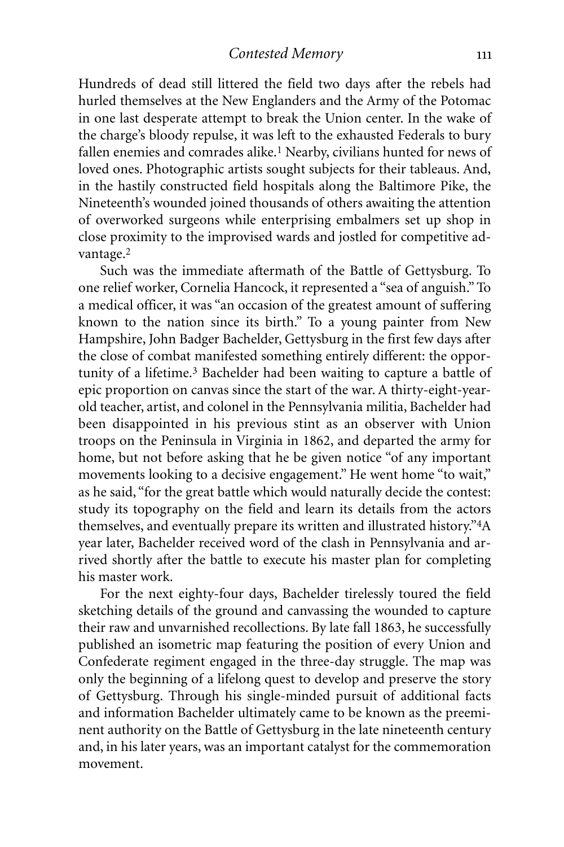Hundreds of dead still littered the field two days after the rebels had hurled themselves at the New Englanders and the Army of the Potomac in one last desperate attempt to break the Union center. In the wake of the charge's bloody repulse, it was left to the exhausted Federals to bury fallen enemies and comrades alike. 1 Nearby, civilians hunted for news of loved ones. Photographic artists sought subjects for their tableaus. And, in the hastily constructed field hospitals along the Baltimore Pike, the Nineteenth's wounded joined thousands of others awaiting the attention of overworked surgeons while enterprising embalmers set up shop in close proximity to the improvised wards and jostled for competitive advantage.<sup>2</sup>

Such was the immediate aftermath of the Battle of Gettysburg. To one relief worker, Cornelia Hancock, it represented a "sea of anguish." To a medical officer, it was "an occasion of the greatest amount of suffering known to the nation since its birth." To a young painter from New Hampshire, John Badger Bachelder, Gettysburg in the first few days after the close of combat manifested something entirely different: the opportunity of a lifetime.3 Bachelder had been waiting to capture a battle of epic proportion on canvas since the start of the war. A thirty-eight-yearold teacher, artist, and colonel in the Pennsylvania militia, Bachelder had been disappointed in his previous stint as an observer with Union troops on the Peninsula in Virginia in 1862, and departed the army for home, but not before asking that he be given notice "of any important movements looking to a decisive engagement." He went home "to wait," as he said, "for the great battle which would naturally decide the contest: study its topography on the field and learn its details from the actors themselves, and eventually prepare its written and illustrated history."4A year later, Bachelder received word of the clash in Pennsylvania and arrived shortly after the battle to execute his master plan for completing his master work.

For the next eighty-four days, Bachelder tirelessly toured the field sketching details of the ground and canvassing the wounded to capture their raw and unvarnished recollections. By late fall 1863, he successfully published an isometric map featuring the position of every Union and Confederate regiment engaged in the three-day struggle. The map was only the beginning of a lifelong quest to develop and preserve the story of Gettysburg. Through his single-minded pursuit of additional facts and information Bachelder ultimately came to be known as the preeminent authority on the Battle of Gettysburg in the late nineteenth century and, in his later years, was an important catalyst for the commemoration movement.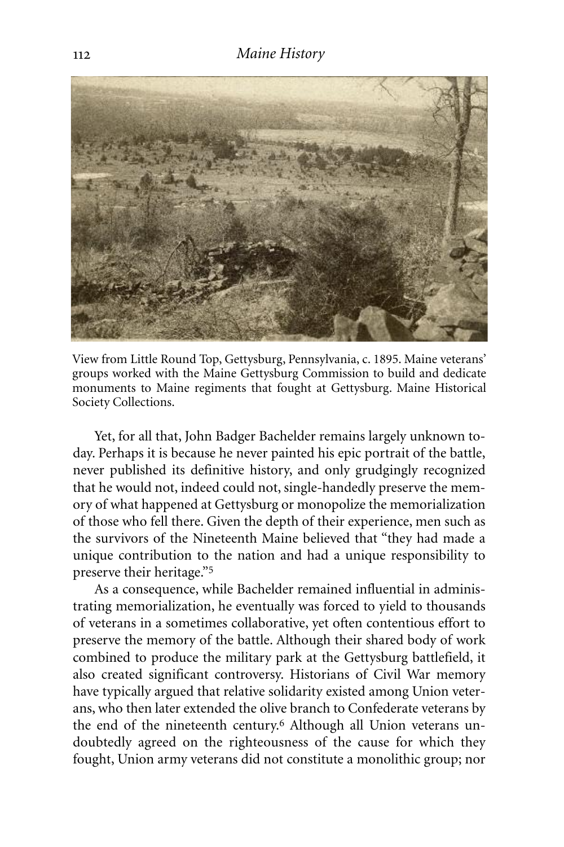

View from Little Round Top, Gettysburg, Pennsylvania, c. 1895. Maine veterans' groups worked with the Maine Gettysburg Commission to build and dedicate monuments to Maine regiments that fought at Gettysburg. Maine Historical Society Collections.

Yet, for all that, John Badger Bachelder remains largely unknown today. Perhaps it is because he never painted his epic portrait of the battle, never published its definitive history, and only grudgingly recognized that he would not, indeed could not, single-handedly preserve the memory of what happened at Gettysburg or monopolize the memorialization of those who fell there. Given the depth of their experience, men such as the survivors of the Nineteenth Maine believed that "they had made a unique contribution to the nation and had a unique responsibility to preserve their heritage."5

As a consequence, while Bachelder remained influential in administrating memorialization, he eventually was forced to yield to thousands of veterans in a sometimes collaborative, yet often contentious effort to preserve the memory of the battle. Although their shared body of work combined to produce the military park at the Gettysburg battlefield, it also created significant controversy. Historians of Civil War memory have typically argued that relative solidarity existed among Union veterans, who then later extended the olive branch to Confederate veterans by the end of the nineteenth century. 6 Although all Union veterans undoubtedly agreed on the righteousness of the cause for which they fought, Union army veterans did not constitute a monolithic group; nor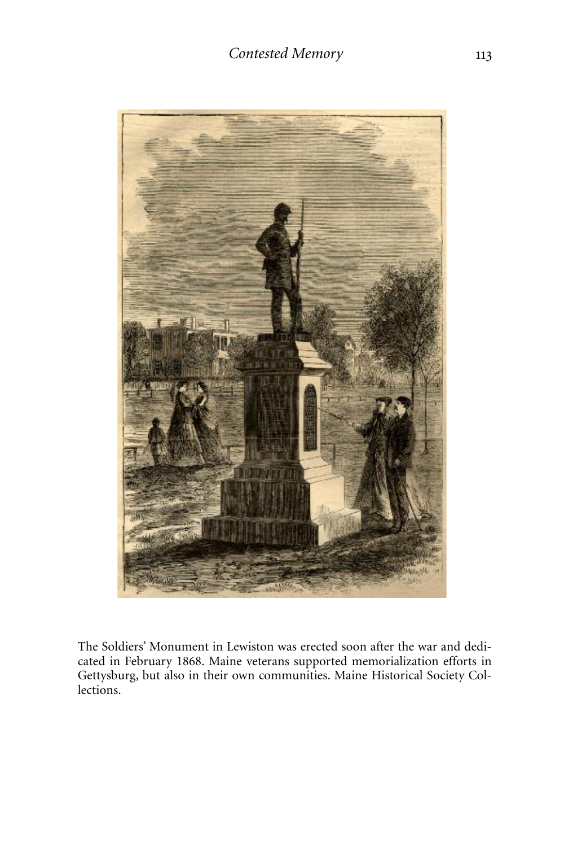

The Soldiers' Monument in Lewiston was erected soon after the war and dedicated in February 1868. Maine veterans supported memorialization efforts in Gettysburg, but also in their own communities. Maine Historical Society Collections.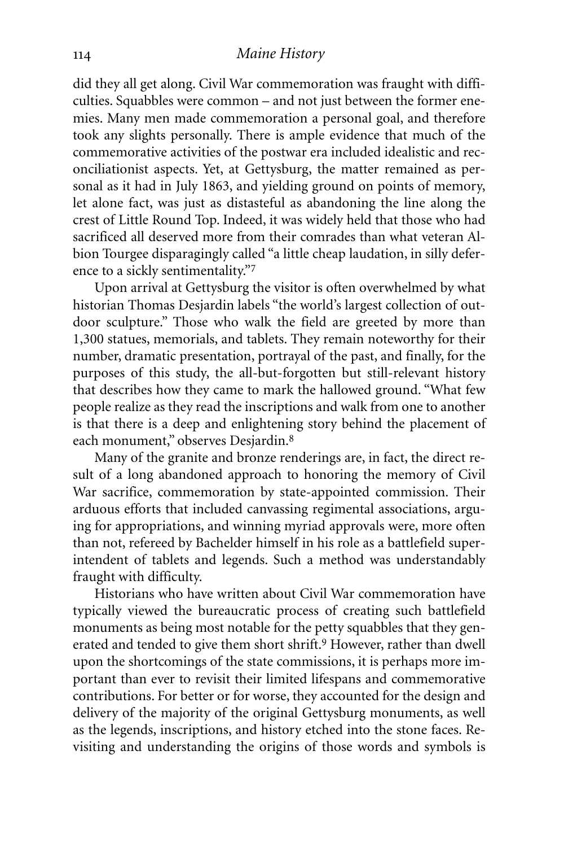did they all get along. Civil War commemoration was fraught with difficulties. Squabbles were common – and not just between the former enemies. Many men made commemoration a personal goal, and therefore took any slights personally. There is ample evidence that much of the commemorative activities of the postwar era included idealistic and reconciliationist aspects. Yet, at Gettysburg, the matter remained as personal as it had in July 1863, and yielding ground on points of memory, let alone fact, was just as distasteful as abandoning the line along the crest of Little Round Top. Indeed, it was widely held that those who had sacrificed all deserved more from their comrades than what veteran Albion Tourgee disparagingly called "a little cheap laudation, in silly deference to a sickly sentimentality."7

Upon arrival at Gettysburg the visitor is often overwhelmed by what historian Thomas Desjardin labels "the world's largest collection of outdoor sculpture." Those who walk the field are greeted by more than 1,300 statues, memorials, and tablets. They remain noteworthy for their number, dramatic presentation, portrayal of the past, and finally, for the purposes of this study, the all-but-forgotten but still-relevant history that describes how they came to mark the hallowed ground. "What few people realize as they read the inscriptions and walk from one to another is that there is a deep and enlightening story behind the placement of each monument," observes Desjardin.<sup>8</sup>

Many of the granite and bronze renderings are, in fact, the direct result of a long abandoned approach to honoring the memory of Civil War sacrifice, commemoration by state-appointed commission. Their arduous efforts that included canvassing regimental associations, arguing for appropriations, and winning myriad approvals were, more often than not, refereed by Bachelder himself in his role as a battlefield superintendent of tablets and legends. Such a method was understandably fraught with difficulty.

Historians who have written about Civil War commemoration have typically viewed the bureaucratic process of creating such battlefield monuments as being most notable for the petty squabbles that they generated and tended to give them short shrift. 9 However, rather than dwell upon the shortcomings of the state commissions, it is perhaps more important than ever to revisit their limited lifespans and commemorative contributions. For better or for worse, they accounted for the design and delivery of the majority of the original Gettysburg monuments, as well as the legends, inscriptions, and history etched into the stone faces. Revisiting and understanding the origins of those words and symbols is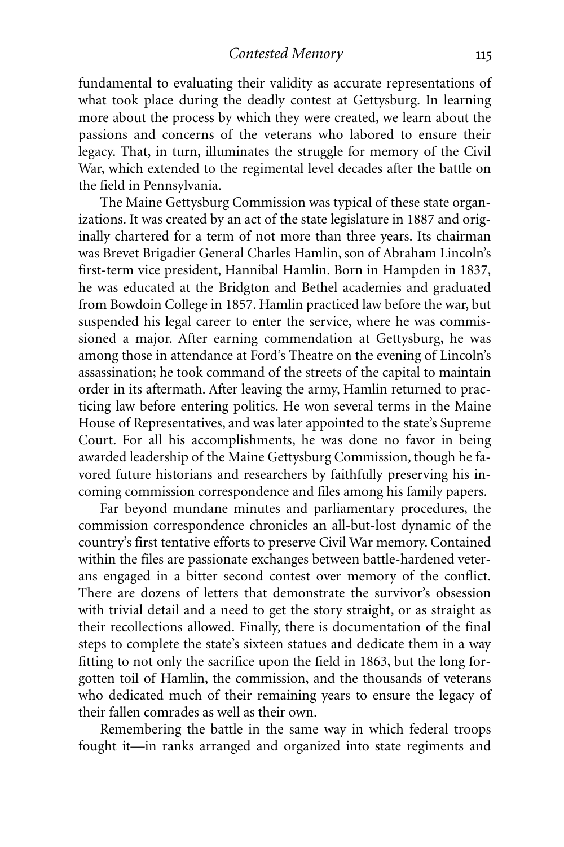fundamental to evaluating their validity as accurate representations of what took place during the deadly contest at Gettysburg. In learning more about the process by which they were created, we learn about the passions and concerns of the veterans who labored to ensure their legacy. That, in turn, illuminates the struggle for memory of the Civil War, which extended to the regimental level decades after the battle on the field in Pennsylvania.

The Maine Gettysburg Commission was typical of these state organizations. It was created by an act of the state legislature in 1887 and originally chartered for a term of not more than three years. Its chairman was Brevet Brigadier General Charles Hamlin, son of Abraham Lincoln's first-term vice president, Hannibal Hamlin. Born in Hampden in 1837, he was educated at the Bridgton and Bethel academies and graduated from Bowdoin College in 1857. Hamlin practiced law before the war, but suspended his legal career to enter the service, where he was commissioned a major. After earning commendation at Gettysburg, he was among those in attendance at Ford's Theatre on the evening of Lincoln's assassination; he took command of the streets of the capital to maintain order in its aftermath. After leaving the army, Hamlin returned to practicing law before entering politics. He won several terms in the Maine House of Representatives, and was later appointed to the state's Supreme Court. For all his accomplishments, he was done no favor in being awarded leadership of the Maine Gettysburg Commission, though he favored future historians and researchers by faithfully preserving his incoming commission correspondence and files among his family papers.

Far beyond mundane minutes and parliamentary procedures, the commission correspondence chronicles an all-but-lost dynamic of the country's first tentative efforts to preserve Civil War memory. Contained within the files are passionate exchanges between battle-hardened veterans engaged in a bitter second contest over memory of the conflict. There are dozens of letters that demonstrate the survivor's obsession with trivial detail and a need to get the story straight, or as straight as their recollections allowed. Finally, there is documentation of the final steps to complete the state's sixteen statues and dedicate them in a way fitting to not only the sacrifice upon the field in 1863, but the long forgotten toil of Hamlin, the commission, and the thousands of veterans who dedicated much of their remaining years to ensure the legacy of their fallen comrades as well as their own.

Remembering the battle in the same way in which federal troops fought it—in ranks arranged and organized into state regiments and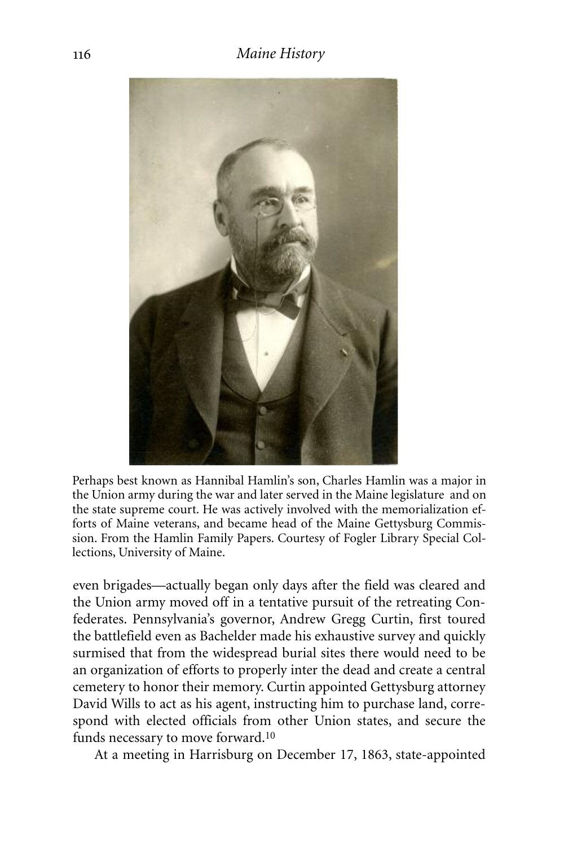

Perhaps best known as Hannibal Hamlin's son, Charles Hamlin was a major in the Union army during the war and later served in the Maine legislature and on the state supreme court. He was actively involved with the memorialization efforts of Maine veterans, and became head of the Maine Gettysburg Commission. From the Hamlin Family Papers. Courtesy of Fogler Library Special Collections, University of Maine.

even brigades—actually began only days after the field was cleared and the Union army moved off in a tentative pursuit of the retreating Confederates. Pennsylvania's governor, Andrew Gregg Curtin, first toured the battlefield even as Bachelder made his exhaustive survey and quickly surmised that from the widespread burial sites there would need to be an organization of efforts to properly inter the dead and create a central cemetery to honor their memory. Curtin appointed Gettysburg attorney David Wills to act as his agent, instructing him to purchase land, correspond with elected officials from other Union states, and secure the funds necessary to move forward.<sup>10</sup>

At a meeting in Harrisburg on December 17, 1863, state-appointed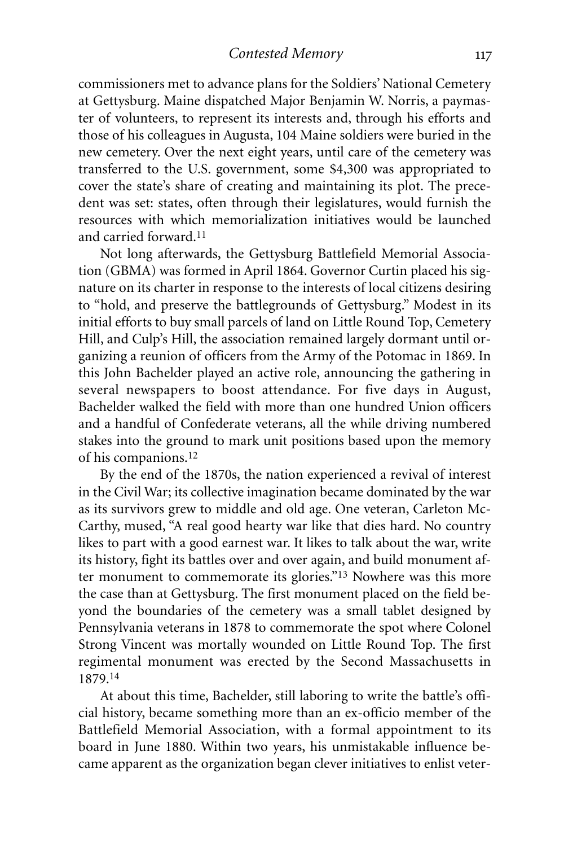*Contested Memory*

commissioners met to advance plans for the Soldiers' National Cemetery at Gettysburg. Maine dispatched Major Benjamin W. Norris, a paymaster of volunteers, to represent its interests and, through his efforts and those of his colleagues in Augusta, 104 Maine soldiers were buried in the new cemetery. Over the next eight years, until care of the cemetery was transferred to the U.S. government, some \$4,300 was appropriated to cover the state's share of creating and maintaining its plot. The precedent was set: states, often through their legislatures, would furnish the resources with which memorialization initiatives would be launched and carried forward. 11

Not long afterwards, the Gettysburg Battlefield Memorial Association (GBMA) was formed in April 1864. Governor Curtin placed his signature on its charter in response to the interests of local citizens desiring to "hold, and preserve the battlegrounds of Gettysburg." Modest in its initial efforts to buy small parcels of land on Little Round Top, Cemetery Hill, and Culp's Hill, the association remained largely dormant until organizing a reunion of officers from the Army of the Potomac in 1869. In this John Bachelder played an active role, announcing the gathering in several newspapers to boost attendance. For five days in August, Bachelder walked the field with more than one hundred Union officers and a handful of Confederate veterans, all the while driving numbered stakes into the ground to mark unit positions based upon the memory of his companions. 12

By the end of the 1870s, the nation experienced a revival of interest in the Civil War; its collective imagination became dominated by the war as its survivors grew to middle and old age. One veteran, Carleton Mc-Carthy, mused, "A real good hearty war like that dies hard. No country likes to part with a good earnest war. It likes to talk about the war, write its history, fight its battles over and over again, and build monument after monument to commemorate its glories."13 Nowhere was this more the case than at Gettysburg. The first monument placed on the field beyond the boundaries of the cemetery was a small tablet designed by Pennsylvania veterans in 1878 to commemorate the spot where Colonel Strong Vincent was mortally wounded on Little Round Top. The first regimental monument was erected by the Second Massachusetts in 1879.14

At about this time, Bachelder, still laboring to write the battle's official history, became something more than an ex-officio member of the Battlefield Memorial Association, with a formal appointment to its board in June 1880. Within two years, his unmistakable influence became apparent as the organization began clever initiatives to enlist veter-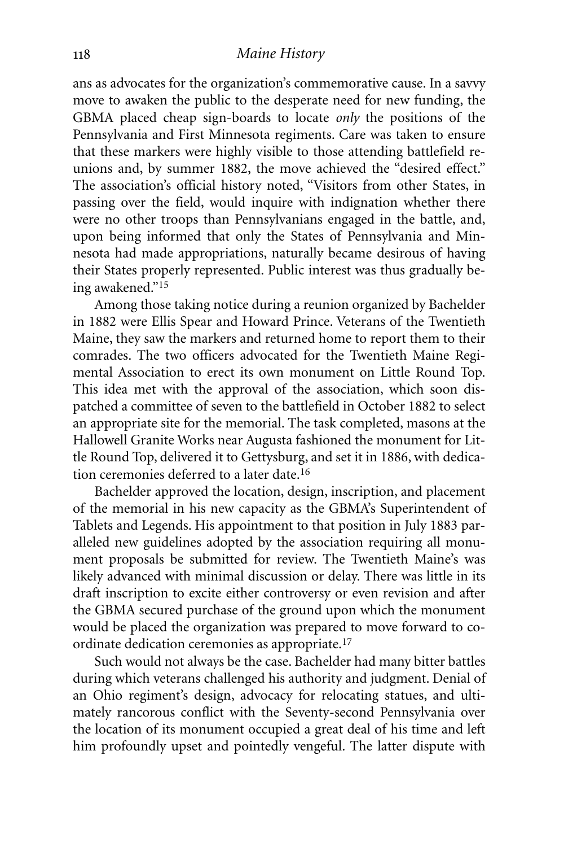ans as advocates for the organization's commemorative cause. In a savvy move to awaken the public to the desperate need for new funding, the GBMA placed cheap sign-boards to locate *only* the positions of the Pennsylvania and First Minnesota regiments. Care was taken to ensure that these markers were highly visible to those attending battlefield reunions and, by summer 1882, the move achieved the "desired effect." The association's official history noted, "Visitors from other States, in passing over the field, would inquire with indignation whether there were no other troops than Pennsylvanians engaged in the battle, and, upon being informed that only the States of Pennsylvania and Minnesota had made appropriations, naturally became desirous of having their States properly represented. Public interest was thus gradually being awakened."15

Among those taking notice during a reunion organized by Bachelder in 1882 were Ellis Spear and Howard Prince. Veterans of the Twentieth Maine, they saw the markers and returned home to report them to their comrades. The two officers advocated for the Twentieth Maine Regimental Association to erect its own monument on Little Round Top. This idea met with the approval of the association, which soon dispatched a committee of seven to the battlefield in October 1882 to select an appropriate site for the memorial. The task completed, masons at the Hallowell Granite Works near Augusta fashioned the monument for Little Round Top, delivered it to Gettysburg, and set it in 1886, with dedication ceremonies deferred to a later date.16

Bachelder approved the location, design, inscription, and placement of the memorial in his new capacity as the GBMA's Superintendent of Tablets and Legends. His appointment to that position in July 1883 paralleled new guidelines adopted by the association requiring all monument proposals be submitted for review. The Twentieth Maine's was likely advanced with minimal discussion or delay. There was little in its draft inscription to excite either controversy or even revision and after the GBMA secured purchase of the ground upon which the monument would be placed the organization was prepared to move forward to coordinate dedication ceremonies as appropriate. 17

Such would not always be the case. Bachelder had many bitter battles during which veterans challenged his authority and judgment. Denial of an Ohio regiment's design, advocacy for relocating statues, and ultimately rancorous conflict with the Seventy-second Pennsylvania over the location of its monument occupied a great deal of his time and left him profoundly upset and pointedly vengeful. The latter dispute with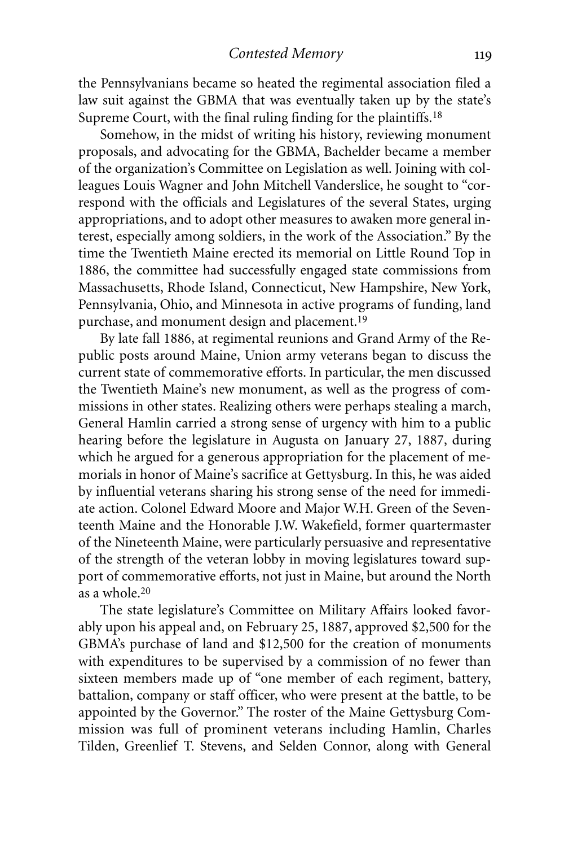the Pennsylvanians became so heated the regimental association filed a law suit against the GBMA that was eventually taken up by the state's Supreme Court, with the final ruling finding for the plaintiffs.<sup>18</sup>

Somehow, in the midst of writing his history, reviewing monument proposals, and advocating for the GBMA, Bachelder became a member of the organization's Committee on Legislation as well. Joining with colleagues Louis Wagner and John Mitchell Vanderslice, he sought to "correspond with the officials and Legislatures of the several States, urging appropriations, and to adopt other measures to awaken more general interest, especially among soldiers, in the work of the Association." By the time the Twentieth Maine erected its memorial on Little Round Top in 1886, the committee had successfully engaged state commissions from Massachusetts, Rhode Island, Connecticut, New Hampshire, New York, Pennsylvania, Ohio, and Minnesota in active programs of funding, land purchase, and monument design and placement. 19

By late fall 1886, at regimental reunions and Grand Army of the Republic posts around Maine, Union army veterans began to discuss the current state of commemorative efforts. In particular, the men discussed the Twentieth Maine's new monument, as well as the progress of commissions in other states. Realizing others were perhaps stealing a march, General Hamlin carried a strong sense of urgency with him to a public hearing before the legislature in Augusta on January 27, 1887, during which he argued for a generous appropriation for the placement of memorials in honor of Maine's sacrifice at Gettysburg. In this, he was aided by influential veterans sharing his strong sense of the need for immediate action. Colonel Edward Moore and Major W.H. Green of the Seventeenth Maine and the Honorable J.W. Wakefield, former quartermaster of the Nineteenth Maine, were particularly persuasive and representative of the strength of the veteran lobby in moving legislatures toward support of commemorative efforts, not just in Maine, but around the North as a whole. 20

The state legislature's Committee on Military Affairs looked favorably upon his appeal and, on February 25, 1887, approved \$2,500 for the GBMA's purchase of land and \$12,500 for the creation of monuments with expenditures to be supervised by a commission of no fewer than sixteen members made up of "one member of each regiment, battery, battalion, company or staff officer, who were present at the battle, to be appointed by the Governor." The roster of the Maine Gettysburg Commission was full of prominent veterans including Hamlin, Charles Tilden, Greenlief T. Stevens, and Selden Connor, along with General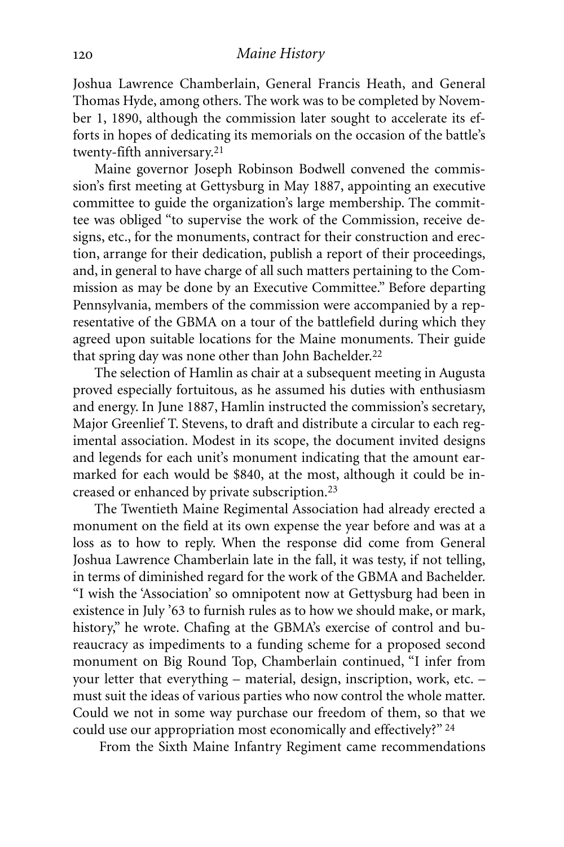Joshua Lawrence Chamberlain, General Francis Heath, and General Thomas Hyde, among others. The work was to be completed by November 1, 1890, although the commission later sought to accelerate its efforts in hopes of dedicating its memorials on the occasion of the battle's twenty-fifth anniversary. 21

Maine governor Joseph Robinson Bodwell convened the commission's first meeting at Gettysburg in May 1887, appointing an executive committee to guide the organization's large membership. The committee was obliged "to supervise the work of the Commission, receive designs, etc., for the monuments, contract for their construction and erection, arrange for their dedication, publish a report of their proceedings, and, in general to have charge of all such matters pertaining to the Commission as may be done by an Executive Committee." Before departing Pennsylvania, members of the commission were accompanied by a representative of the GBMA on a tour of the battlefield during which they agreed upon suitable locations for the Maine monuments. Their guide that spring day was none other than John Bachelder.<sup>22</sup>

The selection of Hamlin as chair at a subsequent meeting in Augusta proved especially fortuitous, as he assumed his duties with enthusiasm and energy. In June 1887, Hamlin instructed the commission's secretary, Major Greenlief T. Stevens, to draft and distribute a circular to each regimental association. Modest in its scope, the document invited designs and legends for each unit's monument indicating that the amount earmarked for each would be \$840, at the most, although it could be increased or enhanced by private subscription.23

The Twentieth Maine Regimental Association had already erected a monument on the field at its own expense the year before and was at a loss as to how to reply. When the response did come from General Joshua Lawrence Chamberlain late in the fall, it was testy, if not telling, in terms of diminished regard for the work of the GBMA and Bachelder. "I wish the 'Association' so omnipotent now at Gettysburg had been in existence in July '63 to furnish rules as to how we should make, or mark, history," he wrote. Chafing at the GBMA's exercise of control and bureaucracy as impediments to a funding scheme for a proposed second monument on Big Round Top, Chamberlain continued, "I infer from your letter that everything – material, design, inscription, work, etc. – must suit the ideas of various parties who now control the whole matter. Could we not in some way purchase our freedom of them, so that we could use our appropriation most economically and effectively?" 24

From the Sixth Maine Infantry Regiment came recommendations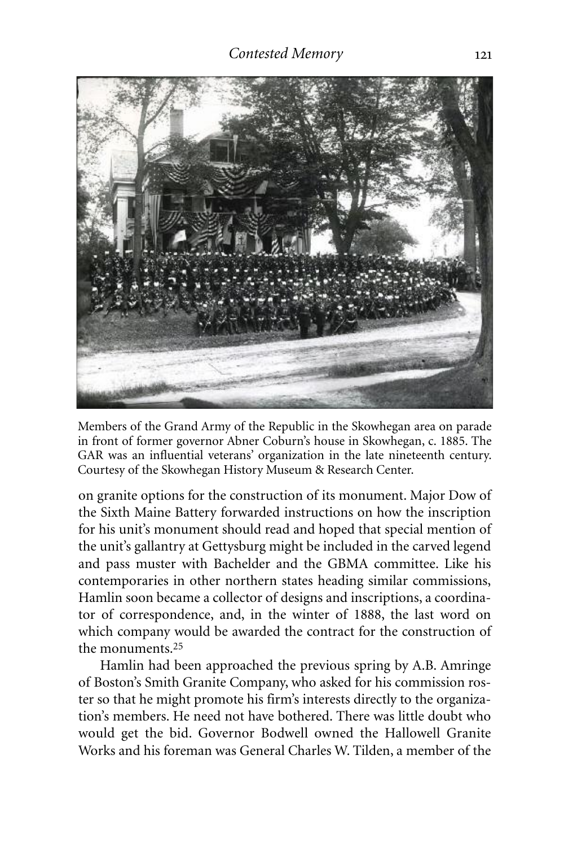

Members of the Grand Army of the Republic in the Skowhegan area on parade in front of former governor Abner Coburn's house in Skowhegan, c. 1885. The GAR was an influential veterans' organization in the late nineteenth century. Courtesy of the Skowhegan History Museum & Research Center.

on granite options for the construction of its monument. Major Dow of the Sixth Maine Battery forwarded instructions on how the inscription for his unit's monument should read and hoped that special mention of the unit's gallantry at Gettysburg might be included in the carved legend and pass muster with Bachelder and the GBMA committee. Like his contemporaries in other northern states heading similar commissions, Hamlin soon became a collector of designs and inscriptions, a coordinator of correspondence, and, in the winter of 1888, the last word on which company would be awarded the contract for the construction of the monuments. 25

Hamlin had been approached the previous spring by A.B. Amringe of Boston's Smith Granite Company, who asked for his commission roster so that he might promote his firm's interests directly to the organization's members. He need not have bothered. There was little doubt who would get the bid. Governor Bodwell owned the Hallowell Granite Works and his foreman was General Charles W. Tilden, a member of the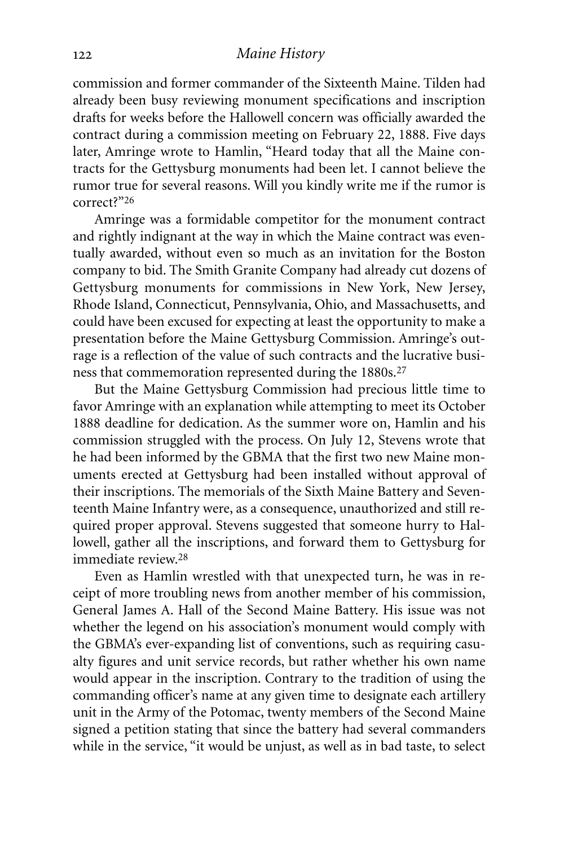commission and former commander of the Sixteenth Maine. Tilden had already been busy reviewing monument specifications and inscription drafts for weeks before the Hallowell concern was officially awarded the contract during a commission meeting on February 22, 1888. Five days later, Amringe wrote to Hamlin, "Heard today that all the Maine contracts for the Gettysburg monuments had been let. I cannot believe the rumor true for several reasons. Will you kindly write me if the rumor is correct?"26

Amringe was a formidable competitor for the monument contract and rightly indignant at the way in which the Maine contract was eventually awarded, without even so much as an invitation for the Boston company to bid. The Smith Granite Company had already cut dozens of Gettysburg monuments for commissions in New York, New Jersey, Rhode Island, Connecticut, Pennsylvania, Ohio, and Massachusetts, and could have been excused for expecting at least the opportunity to make a presentation before the Maine Gettysburg Commission. Amringe's outrage is a reflection of the value of such contracts and the lucrative business that commemoration represented during the 1880s.27

But the Maine Gettysburg Commission had precious little time to favor Amringe with an explanation while attempting to meet its October 1888 deadline for dedication. As the summer wore on, Hamlin and his commission struggled with the process. On July 12, Stevens wrote that he had been informed by the GBMA that the first two new Maine monuments erected at Gettysburg had been installed without approval of their inscriptions. The memorials of the Sixth Maine Battery and Seventeenth Maine Infantry were, as a consequence, unauthorized and still required proper approval. Stevens suggested that someone hurry to Hallowell, gather all the inscriptions, and forward them to Gettysburg for immediate review. 28

Even as Hamlin wrestled with that unexpected turn, he was in receipt of more troubling news from another member of his commission, General James A. Hall of the Second Maine Battery. His issue was not whether the legend on his association's monument would comply with the GBMA's ever-expanding list of conventions, such as requiring casualty figures and unit service records, but rather whether his own name would appear in the inscription. Contrary to the tradition of using the commanding officer's name at any given time to designate each artillery unit in the Army of the Potomac, twenty members of the Second Maine signed a petition stating that since the battery had several commanders while in the service, "it would be unjust, as well as in bad taste, to select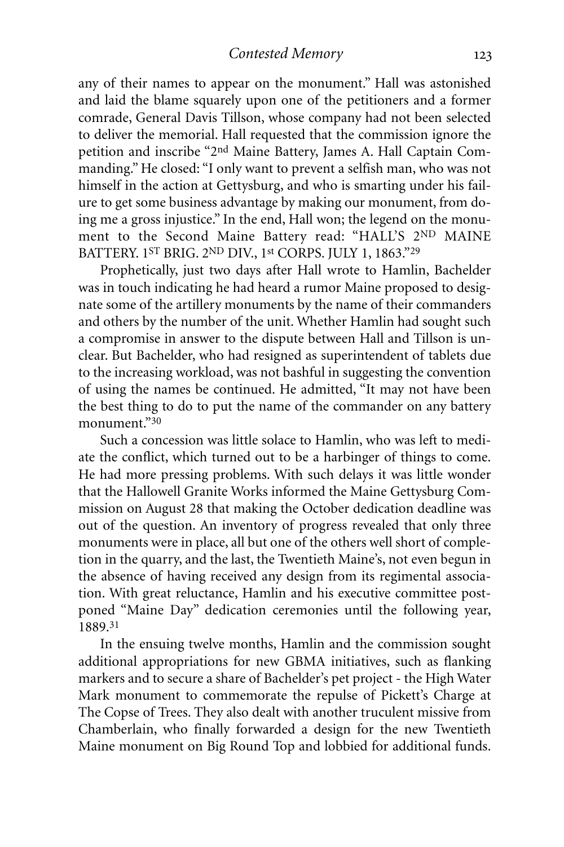any of their names to appear on the monument." Hall was astonished and laid the blame squarely upon one of the petitioners and a former comrade, General Davis Tillson, whose company had not been selected to deliver the memorial. Hall requested that the commission ignore the petition and inscribe "2nd Maine Battery, James A. Hall Captain Commanding." He closed: "I only want to prevent a selfish man, who was not himself in the action at Gettysburg, and who is smarting under his failure to get some business advantage by making our monument, from doing me a gross injustice." In the end, Hall won; the legend on the monument to the Second Maine Battery read: "HALL'S 2ND MAINE BATTERY. 1ST BRIG. 2ND DIV., 1st CORPS. JULY 1, 1863."29

Prophetically, just two days after Hall wrote to Hamlin, Bachelder was in touch indicating he had heard a rumor Maine proposed to designate some of the artillery monuments by the name of their commanders and others by the number of the unit. Whether Hamlin had sought such a compromise in answer to the dispute between Hall and Tillson is unclear. But Bachelder, who had resigned as superintendent of tablets due to the increasing workload, was not bashful in suggesting the convention of using the names be continued. He admitted, "It may not have been the best thing to do to put the name of the commander on any battery monument."30

Such a concession was little solace to Hamlin, who was left to mediate the conflict, which turned out to be a harbinger of things to come. He had more pressing problems. With such delays it was little wonder that the Hallowell Granite Works informed the Maine Gettysburg Commission on August 28 that making the October dedication deadline was out of the question. An inventory of progress revealed that only three monuments were in place, all but one of the others well short of completion in the quarry, and the last, the Twentieth Maine's, not even begun in the absence of having received any design from its regimental association. With great reluctance, Hamlin and his executive committee postponed "Maine Day" dedication ceremonies until the following year, 1889. 31

In the ensuing twelve months, Hamlin and the commission sought additional appropriations for new GBMA initiatives, such as flanking markers and to secure a share of Bachelder's pet project - the High Water Mark monument to commemorate the repulse of Pickett's Charge at The Copse of Trees. They also dealt with another truculent missive from Chamberlain, who finally forwarded a design for the new Twentieth Maine monument on Big Round Top and lobbied for additional funds.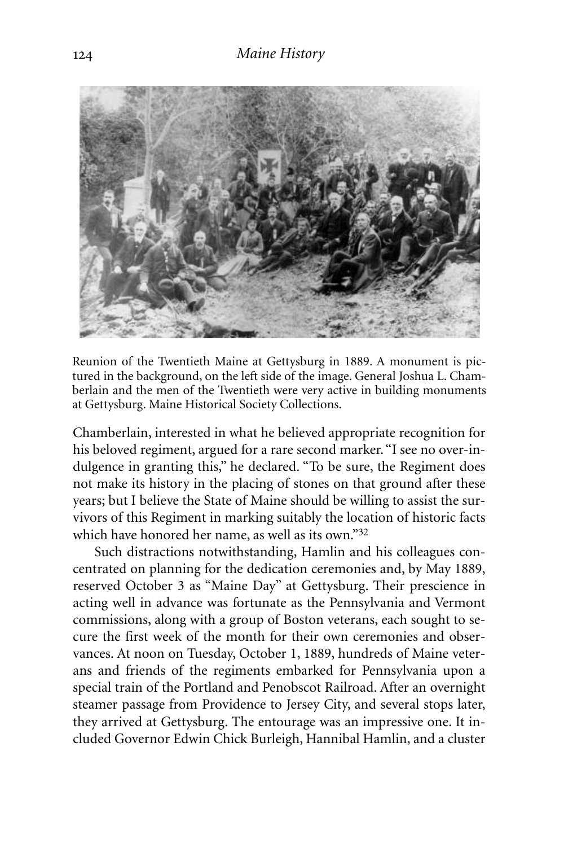

Reunion of the Twentieth Maine at Gettysburg in 1889. A monument is pictured in the background, on the left side of the image. General Joshua L. Chamberlain and the men of the Twentieth were very active in building monuments at Gettysburg. Maine Historical Society Collections.

Chamberlain, interested in what he believed appropriate recognition for his beloved regiment, argued for a rare second marker. "I see no over-indulgence in granting this," he declared. "To be sure, the Regiment does not make its history in the placing of stones on that ground after these years; but I believe the State of Maine should be willing to assist the survivors of this Regiment in marking suitably the location of historic facts which have honored her name, as well as its own."32

Such distractions notwithstanding, Hamlin and his colleagues concentrated on planning for the dedication ceremonies and, by May 1889, reserved October 3 as "Maine Day" at Gettysburg. Their prescience in acting well in advance was fortunate as the Pennsylvania and Vermont commissions, along with a group of Boston veterans, each sought to secure the first week of the month for their own ceremonies and observances. At noon on Tuesday, October 1, 1889, hundreds of Maine veterans and friends of the regiments embarked for Pennsylvania upon a special train of the Portland and Penobscot Railroad. After an overnight steamer passage from Providence to Jersey City, and several stops later, they arrived at Gettysburg. The entourage was an impressive one. It included Governor Edwin Chick Burleigh, Hannibal Hamlin, and a cluster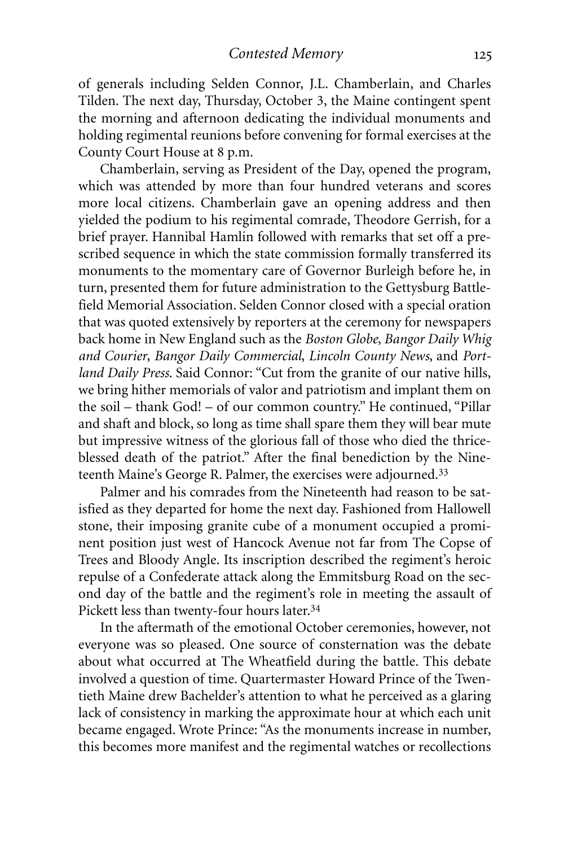of generals including Selden Connor, J.L. Chamberlain, and Charles Tilden. The next day, Thursday, October 3, the Maine contingent spent the morning and afternoon dedicating the individual monuments and holding regimental reunions before convening for formal exercises at the County Court House at 8 p.m.

Chamberlain, serving as President of the Day, opened the program, which was attended by more than four hundred veterans and scores more local citizens. Chamberlain gave an opening address and then yielded the podium to his regimental comrade, Theodore Gerrish, for a brief prayer. Hannibal Hamlin followed with remarks that set off a prescribed sequence in which the state commission formally transferred its monuments to the momentary care of Governor Burleigh before he, in turn, presented them for future administration to the Gettysburg Battlefield Memorial Association. Selden Connor closed with a special oration that was quoted extensively by reporters at the ceremony for newspapers back home in New England such as the *Boston Globe*, *Bangor Daily Whig and Courier*, *Bangor Daily Commercial*, *Lincoln County News*, and *Portland Daily Press*. Said Connor: "Cut from the granite of our native hills, we bring hither memorials of valor and patriotism and implant them on the soil – thank God! – of our common country." He continued, "Pillar and shaft and block, so long as time shall spare them they will bear mute but impressive witness of the glorious fall of those who died the thriceblessed death of the patriot." After the final benediction by the Nineteenth Maine's George R. Palmer, the exercises were adjourned.33

Palmer and his comrades from the Nineteenth had reason to be satisfied as they departed for home the next day. Fashioned from Hallowell stone, their imposing granite cube of a monument occupied a prominent position just west of Hancock Avenue not far from The Copse of Trees and Bloody Angle. Its inscription described the regiment's heroic repulse of a Confederate attack along the Emmitsburg Road on the second day of the battle and the regiment's role in meeting the assault of Pickett less than twenty-four hours later. 34

In the aftermath of the emotional October ceremonies, however, not everyone was so pleased. One source of consternation was the debate about what occurred at The Wheatfield during the battle. This debate involved a question of time. Quartermaster Howard Prince of the Twentieth Maine drew Bachelder's attention to what he perceived as a glaring lack of consistency in marking the approximate hour at which each unit became engaged. Wrote Prince: "As the monuments increase in number, this becomes more manifest and the regimental watches or recollections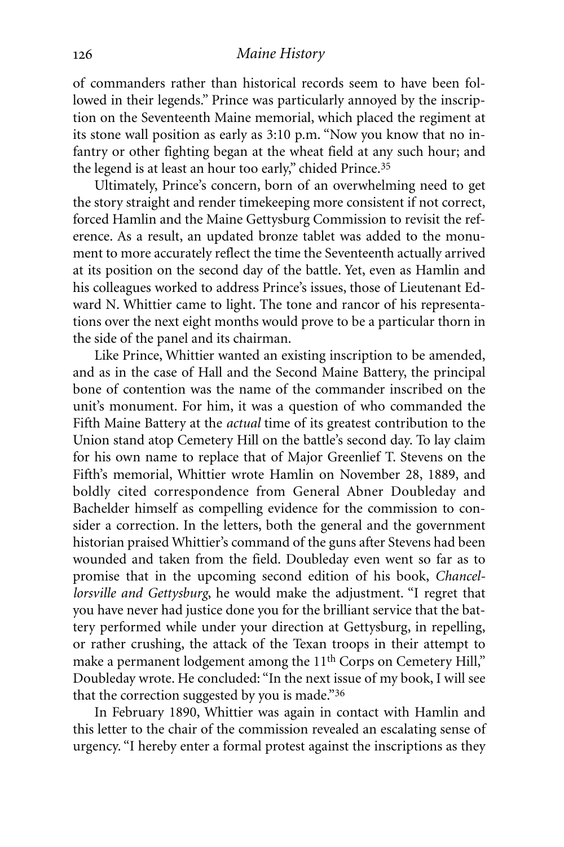of commanders rather than historical records seem to have been followed in their legends." Prince was particularly annoyed by the inscription on the Seventeenth Maine memorial, which placed the regiment at its stone wall position as early as 3:10 p.m. "Now you know that no infantry or other fighting began at the wheat field at any such hour; and the legend is at least an hour too early," chided Prince.<sup>35</sup>

Ultimately, Prince's concern, born of an overwhelming need to get the story straight and render timekeeping more consistent if not correct, forced Hamlin and the Maine Gettysburg Commission to revisit the reference. As a result, an updated bronze tablet was added to the monument to more accurately reflect the time the Seventeenth actually arrived at its position on the second day of the battle. Yet, even as Hamlin and his colleagues worked to address Prince's issues, those of Lieutenant Edward N. Whittier came to light. The tone and rancor of his representations over the next eight months would prove to be a particular thorn in the side of the panel and its chairman.

Like Prince, Whittier wanted an existing inscription to be amended, and as in the case of Hall and the Second Maine Battery, the principal bone of contention was the name of the commander inscribed on the unit's monument. For him, it was a question of who commanded the Fifth Maine Battery at the *actual* time of its greatest contribution to the Union stand atop Cemetery Hill on the battle's second day. To lay claim for his own name to replace that of Major Greenlief T. Stevens on the Fifth's memorial, Whittier wrote Hamlin on November 28, 1889, and boldly cited correspondence from General Abner Doubleday and Bachelder himself as compelling evidence for the commission to consider a correction. In the letters, both the general and the government historian praised Whittier's command of the guns after Stevens had been wounded and taken from the field. Doubleday even went so far as to promise that in the upcoming second edition of his book, *Chancellorsville and Gettysburg*, he would make the adjustment. "I regret that you have never had justice done you for the brilliant service that the battery performed while under your direction at Gettysburg, in repelling, or rather crushing, the attack of the Texan troops in their attempt to make a permanent lodgement among the 11<sup>th</sup> Corps on Cemetery Hill," Doubleday wrote. He concluded: "In the next issue of my book, I will see that the correction suggested by you is made."36

In February 1890, Whittier was again in contact with Hamlin and this letter to the chair of the commission revealed an escalating sense of urgency. "I hereby enter a formal protest against the inscriptions as they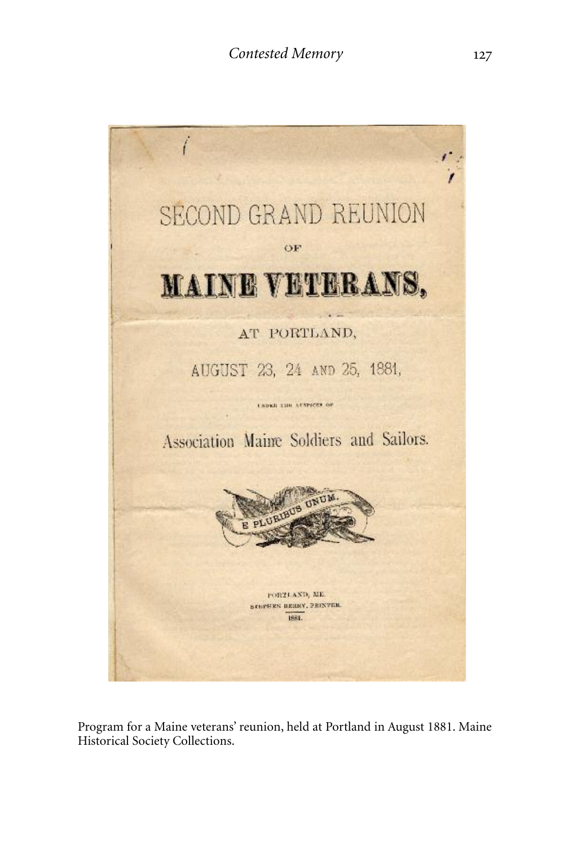

Program for a Maine veterans' reunion, held at Portland in August 1881. Maine Historical Society Collections.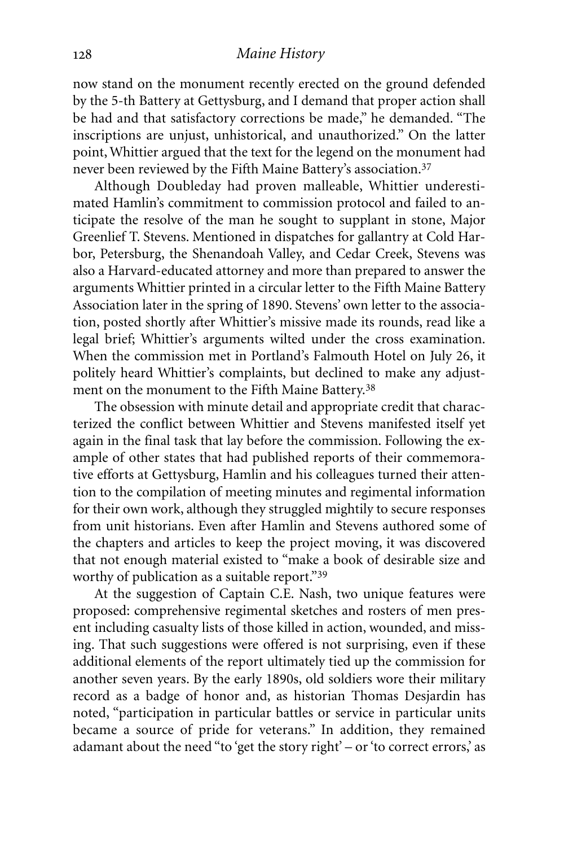now stand on the monument recently erected on the ground defended by the 5-th Battery at Gettysburg, and I demand that proper action shall be had and that satisfactory corrections be made," he demanded. "The inscriptions are unjust, unhistorical, and unauthorized." On the latter point, Whittier argued that the text for the legend on the monument had never been reviewed by the Fifth Maine Battery's association. 37

Although Doubleday had proven malleable, Whittier underestimated Hamlin's commitment to commission protocol and failed to anticipate the resolve of the man he sought to supplant in stone, Major Greenlief T. Stevens. Mentioned in dispatches for gallantry at Cold Harbor, Petersburg, the Shenandoah Valley, and Cedar Creek, Stevens was also a Harvard-educated attorney and more than prepared to answer the arguments Whittier printed in a circular letter to the Fifth Maine Battery Association later in the spring of 1890. Stevens' own letter to the association, posted shortly after Whittier's missive made its rounds, read like a legal brief; Whittier's arguments wilted under the cross examination. When the commission met in Portland's Falmouth Hotel on July 26, it politely heard Whittier's complaints, but declined to make any adjustment on the monument to the Fifth Maine Battery.38

The obsession with minute detail and appropriate credit that characterized the conflict between Whittier and Stevens manifested itself yet again in the final task that lay before the commission. Following the example of other states that had published reports of their commemorative efforts at Gettysburg, Hamlin and his colleagues turned their attention to the compilation of meeting minutes and regimental information for their own work, although they struggled mightily to secure responses from unit historians. Even after Hamlin and Stevens authored some of the chapters and articles to keep the project moving, it was discovered that not enough material existed to "make a book of desirable size and worthy of publication as a suitable report."39

At the suggestion of Captain C.E. Nash, two unique features were proposed: comprehensive regimental sketches and rosters of men present including casualty lists of those killed in action, wounded, and missing. That such suggestions were offered is not surprising, even if these additional elements of the report ultimately tied up the commission for another seven years. By the early 1890s, old soldiers wore their military record as a badge of honor and, as historian Thomas Desjardin has noted, "participation in particular battles or service in particular units became a source of pride for veterans." In addition, they remained adamant about the need "to 'get the story right' – or 'to correct errors,' as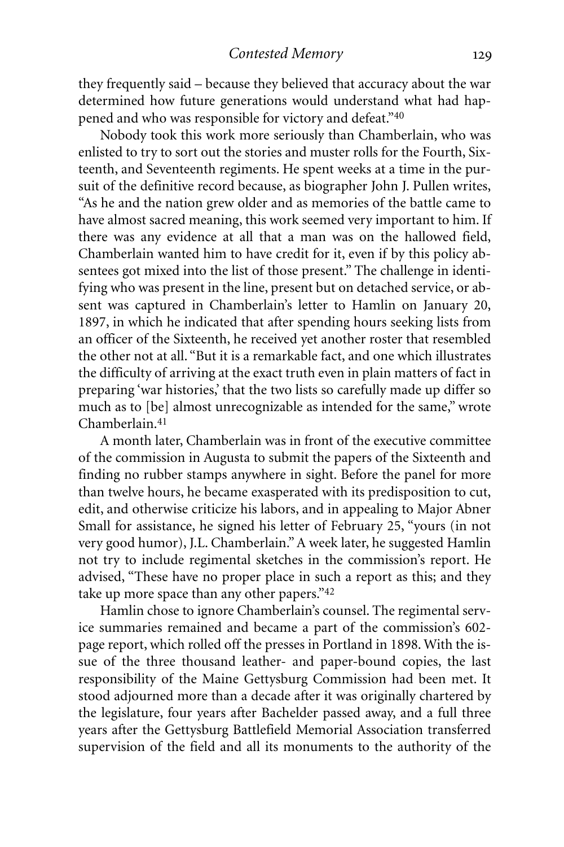they frequently said – because they believed that accuracy about the war determined how future generations would understand what had happened and who was responsible for victory and defeat."40

Nobody took this work more seriously than Chamberlain, who was enlisted to try to sort out the stories and muster rolls for the Fourth, Sixteenth, and Seventeenth regiments. He spent weeks at a time in the pursuit of the definitive record because, as biographer John J. Pullen writes, "As he and the nation grew older and as memories of the battle came to have almost sacred meaning, this work seemed very important to him. If there was any evidence at all that a man was on the hallowed field, Chamberlain wanted him to have credit for it, even if by this policy absentees got mixed into the list of those present." The challenge in identifying who was present in the line, present but on detached service, or absent was captured in Chamberlain's letter to Hamlin on January 20, 1897, in which he indicated that after spending hours seeking lists from an officer of the Sixteenth, he received yet another roster that resembled the other not at all. "But it is a remarkable fact, and one which illustrates the difficulty of arriving at the exact truth even in plain matters of fact in preparing 'war histories,' that the two lists so carefully made up differ so much as to [be] almost unrecognizable as intended for the same," wrote Chamberlain. 41

A month later, Chamberlain was in front of the executive committee of the commission in Augusta to submit the papers of the Sixteenth and finding no rubber stamps anywhere in sight. Before the panel for more than twelve hours, he became exasperated with its predisposition to cut, edit, and otherwise criticize his labors, and in appealing to Major Abner Small for assistance, he signed his letter of February 25, "yours (in not very good humor), J.L. Chamberlain."A week later, he suggested Hamlin not try to include regimental sketches in the commission's report. He advised, "These have no proper place in such a report as this; and they take up more space than any other papers."<sup>42</sup>

Hamlin chose to ignore Chamberlain's counsel. The regimental service summaries remained and became a part of the commission's 602 page report, which rolled off the presses in Portland in 1898. With the issue of the three thousand leather- and paper-bound copies, the last responsibility of the Maine Gettysburg Commission had been met. It stood adjourned more than a decade after it was originally chartered by the legislature, four years after Bachelder passed away, and a full three years after the Gettysburg Battlefield Memorial Association transferred supervision of the field and all its monuments to the authority of the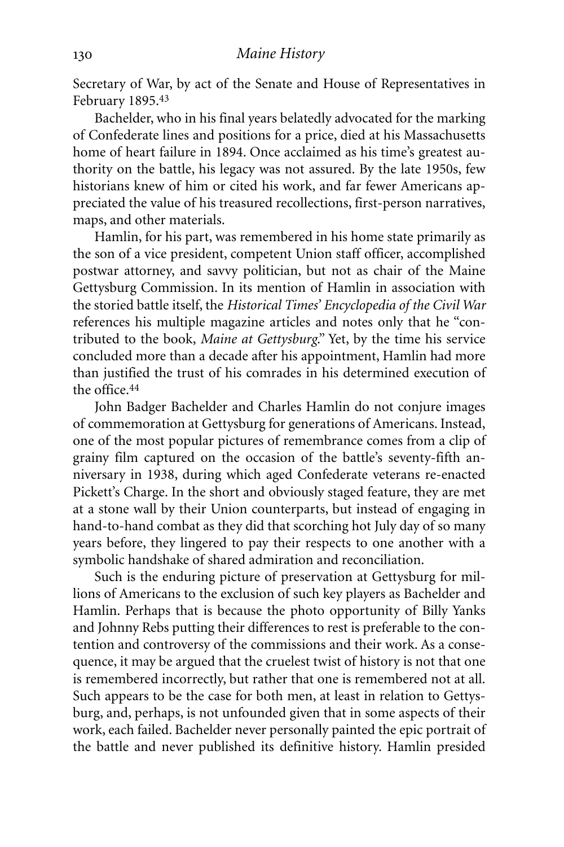Secretary of War, by act of the Senate and House of Representatives in February 1895. 43

Bachelder, who in his final years belatedly advocated for the marking of Confederate lines and positions for a price, died at his Massachusetts home of heart failure in 1894. Once acclaimed as his time's greatest authority on the battle, his legacy was not assured. By the late 1950s, few historians knew of him or cited his work, and far fewer Americans appreciated the value of his treasured recollections, first-person narratives, maps, and other materials.

Hamlin, for his part, was remembered in his home state primarily as the son of a vice president, competent Union staff officer, accomplished postwar attorney, and savvy politician, but not as chair of the Maine Gettysburg Commission. In its mention of Hamlin in association with the storied battle itself, the *Historical Times' Encyclopedia of the Civil War* references his multiple magazine articles and notes only that he "contributed to the book, *Maine at Gettysburg*." Yet, by the time his service concluded more than a decade after his appointment, Hamlin had more than justified the trust of his comrades in his determined execution of the office. 44

John Badger Bachelder and Charles Hamlin do not conjure images of commemoration at Gettysburg for generations of Americans. Instead, one of the most popular pictures of remembrance comes from a clip of grainy film captured on the occasion of the battle's seventy-fifth anniversary in 1938, during which aged Confederate veterans re-enacted Pickett's Charge. In the short and obviously staged feature, they are met at a stone wall by their Union counterparts, but instead of engaging in hand-to-hand combat as they did that scorching hot July day of so many years before, they lingered to pay their respects to one another with a symbolic handshake of shared admiration and reconciliation.

Such is the enduring picture of preservation at Gettysburg for millions of Americans to the exclusion of such key players as Bachelder and Hamlin. Perhaps that is because the photo opportunity of Billy Yanks and Johnny Rebs putting their differences to rest is preferable to the contention and controversy of the commissions and their work. As a consequence, it may be argued that the cruelest twist of history is not that one is remembered incorrectly, but rather that one is remembered not at all. Such appears to be the case for both men, at least in relation to Gettysburg, and, perhaps, is not unfounded given that in some aspects of their work, each failed. Bachelder never personally painted the epic portrait of the battle and never published its definitive history. Hamlin presided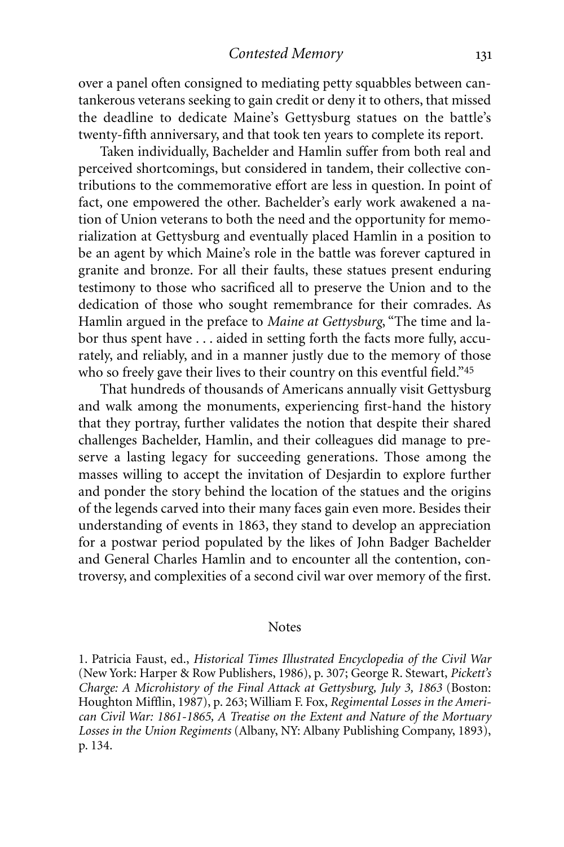*Contested Memory*

over a panel often consigned to mediating petty squabbles between cantankerous veterans seeking to gain credit or deny it to others, that missed the deadline to dedicate Maine's Gettysburg statues on the battle's twenty-fifth anniversary, and that took ten years to complete its report.

Taken individually, Bachelder and Hamlin suffer from both real and perceived shortcomings, but considered in tandem, their collective contributions to the commemorative effort are less in question. In point of fact, one empowered the other. Bachelder's early work awakened a nation of Union veterans to both the need and the opportunity for memorialization at Gettysburg and eventually placed Hamlin in a position to be an agent by which Maine's role in the battle was forever captured in granite and bronze. For all their faults, these statues present enduring testimony to those who sacrificed all to preserve the Union and to the dedication of those who sought remembrance for their comrades. As Hamlin argued in the preface to *Maine at Gettysburg*, "The time and labor thus spent have . . . aided in setting forth the facts more fully, accurately, and reliably, and in a manner justly due to the memory of those who so freely gave their lives to their country on this eventful field."<sup>45</sup>

That hundreds of thousands of Americans annually visit Gettysburg and walk among the monuments, experiencing first-hand the history that they portray, further validates the notion that despite their shared challenges Bachelder, Hamlin, and their colleagues did manage to preserve a lasting legacy for succeeding generations. Those among the masses willing to accept the invitation of Desjardin to explore further and ponder the story behind the location of the statues and the origins of the legends carved into their many faces gain even more. Besides their understanding of events in 1863, they stand to develop an appreciation for a postwar period populated by the likes of John Badger Bachelder and General Charles Hamlin and to encounter all the contention, controversy, and complexities of a second civil war over memory of the first.

#### **Notes**

1. Patricia Faust, ed., *Historical Times Illustrated Encyclopedia of the Civil War* (New York: Harper & Row Publishers, 1986), p. 307; George R. Stewart, *Pickett's Charge: A Microhistory of the Final Attack at Gettysburg, July 3, 1863* (Boston: Houghton Mifflin, 1987), p. 263; William F. Fox, *Regimental Losses in the American Civil War: 1861-1865, A Treatise on the Extent and Nature of the Mortuary Losses in the Union Regiments* (Albany, NY: Albany Publishing Company, 1893), p. 134.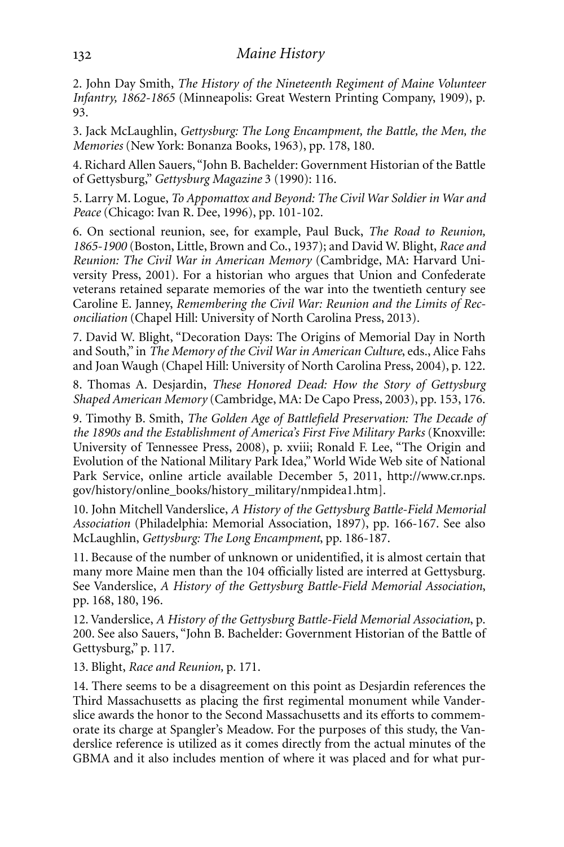2. John Day Smith, *The History of the Nineteenth Regiment of Maine Volunteer Infantry, 1862-1865* (Minneapolis: Great Western Printing Company, 1909), p. 93.

3. Jack McLaughlin, *Gettysburg: The Long Encampment, the Battle, the Men, the Memories* (New York: Bonanza Books, 1963), pp. 178, 180.

4. Richard Allen Sauers, "John B. Bachelder: Government Historian of the Battle of Gettysburg," *Gettysburg Magazine* 3 (1990): 116.

5. Larry M. Logue, *To Appomattox and Beyond: The Civil War Soldier in War and Peace* (Chicago: Ivan R. Dee, 1996), pp. 101-102.

6. On sectional reunion, see, for example, Paul Buck, *The Road to Reunion, 1865-1900* (Boston, Little, Brown and Co., 1937); and David W. Blight, *Race and Reunion: The Civil War in American Memory* (Cambridge, MA: Harvard University Press, 2001). For a historian who argues that Union and Confederate veterans retained separate memories of the war into the twentieth century see Caroline E. Janney, *Remembering the Civil War: Reunion and the Limits of Reconciliation* (Chapel Hill: University of North Carolina Press, 2013).

7. David W. Blight, "Decoration Days: The Origins of Memorial Day in North and South," in *The Memory of the Civil War in American Culture*, eds., Alice Fahs and Joan Waugh (Chapel Hill: University of North Carolina Press, 2004), p. 122.

8. Thomas A. Desjardin, *These Honored Dead: How the Story of Gettysburg Shaped American Memory* (Cambridge, MA: De Capo Press, 2003), pp. 153, 176.

9. Timothy B. Smith, *The Golden Age of Battlefield Preservation: The Decade of the 1890s and the Establishment of America's First Five Military Parks* (Knoxville: University of Tennessee Press, 2008), p. xviii; Ronald F. Lee, "The Origin and Evolution of the National Military Park Idea," World Wide Web site of National Park Service, online article available December 5, 2011, http://www.cr.nps. gov/history/online\_books/history\_military/nmpidea1.htm].

10. John Mitchell Vanderslice, *A History of the Gettysburg Battle-Field Memorial Association* (Philadelphia: Memorial Association, 1897), pp. 166-167. See also McLaughlin, *Gettysburg: The Long Encampment*, pp. 186-187.

11. Because of the number of unknown or unidentified, it is almost certain that many more Maine men than the 104 officially listed are interred at Gettysburg. See Vanderslice, *A History of the Gettysburg Battle-Field Memorial Association*, pp. 168, 180, 196.

12. Vanderslice, *A History of the Gettysburg Battle-Field Memorial Association*, p. 200. See also Sauers, "John B. Bachelder: Government Historian of the Battle of Gettysburg," p. 117.

13. Blight, *Race and Reunion,* p. 171.

14. There seems to be a disagreement on this point as Desjardin references the Third Massachusetts as placing the first regimental monument while Vanderslice awards the honor to the Second Massachusetts and its efforts to commemorate its charge at Spangler's Meadow. For the purposes of this study, the Vanderslice reference is utilized as it comes directly from the actual minutes of the GBMA and it also includes mention of where it was placed and for what pur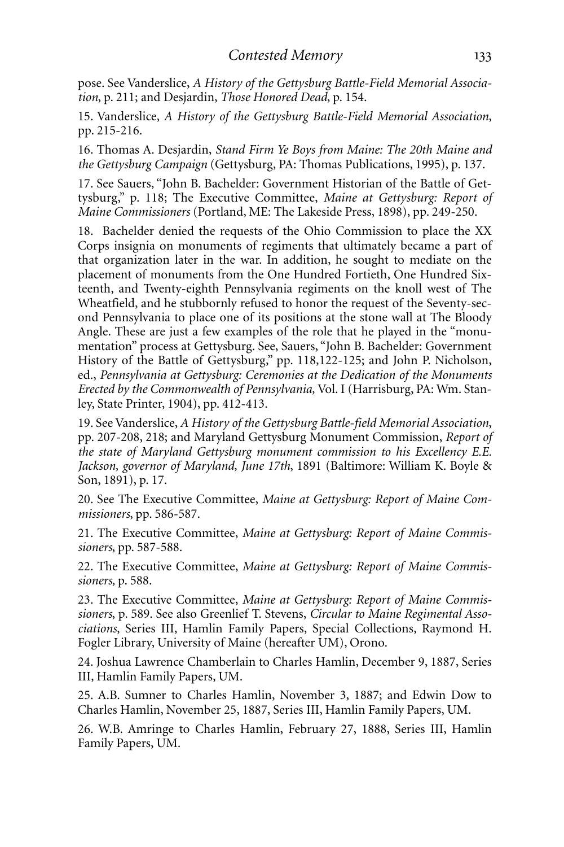pose. See Vanderslice, *A History of the Gettysburg Battle-Field Memorial Association*, p. 211; and Desjardin, *Those Honored Dead*, p. 154.

15. Vanderslice, *A History of the Gettysburg Battle-Field Memorial Association*, pp. 215-216.

16. Thomas A. Desjardin, *Stand Firm Ye Boys from Maine: The 20th Maine and the Gettysburg Campaign* (Gettysburg, PA: Thomas Publications, 1995), p. 137.

17. See Sauers, "John B. Bachelder: Government Historian of the Battle of Gettysburg," p. 118; The Executive Committee, *Maine at Gettysburg: Report of Maine Commissioners* (Portland, ME: The Lakeside Press, 1898), pp. 249-250.

18. Bachelder denied the requests of the Ohio Commission to place the XX Corps insignia on monuments of regiments that ultimately became a part of that organization later in the war. In addition, he sought to mediate on the placement of monuments from the One Hundred Fortieth, One Hundred Sixteenth, and Twenty-eighth Pennsylvania regiments on the knoll west of The Wheatfield, and he stubbornly refused to honor the request of the Seventy-second Pennsylvania to place one of its positions at the stone wall at The Bloody Angle. These are just a few examples of the role that he played in the "monumentation" process at Gettysburg. See, Sauers, "John B. Bachelder: Government History of the Battle of Gettysburg," pp. 118,122-125; and John P. Nicholson, ed., *Pennsylvania at Gettysburg: Ceremonies at the Dedication of the Monuments Erected by the Commonwealth of Pennsylvania,* Vol. I (Harrisburg, PA: Wm. Stanley, State Printer, 1904), pp. 412-413.

19. See Vanderslice, *A History of the Gettysburg Battle-field Memorial Association*, pp. 207-208, 218; and Maryland Gettysburg Monument Commission, *Report of the state of Maryland Gettysburg monument commission to his Excellency E.E. Jackson, governor of Maryland, June 17th*, 1891 (Baltimore: William K. Boyle & Son, 1891), p. 17.

20. See The Executive Committee, *Maine at Gettysburg: Report of Maine Commissioners*, pp. 586-587.

21. The Executive Committee, *Maine at Gettysburg: Report of Maine Commissioners*, pp. 587-588.

22. The Executive Committee, *Maine at Gettysburg: Report of Maine Commissioners*, p. 588.

23. The Executive Committee, *Maine at Gettysburg: Report of Maine Commissioners*, p. 589. See also Greenlief T. Stevens, *Circular to Maine Regimental Associations*, Series III, Hamlin Family Papers, Special Collections, Raymond H. Fogler Library, University of Maine (hereafter UM), Orono.

24. Joshua Lawrence Chamberlain to Charles Hamlin, December 9, 1887, Series III, Hamlin Family Papers, UM.

25. A.B. Sumner to Charles Hamlin, November 3, 1887; and Edwin Dow to Charles Hamlin, November 25, 1887, Series III, Hamlin Family Papers, UM.

26. W.B. Amringe to Charles Hamlin, February 27, 1888, Series III, Hamlin Family Papers, UM.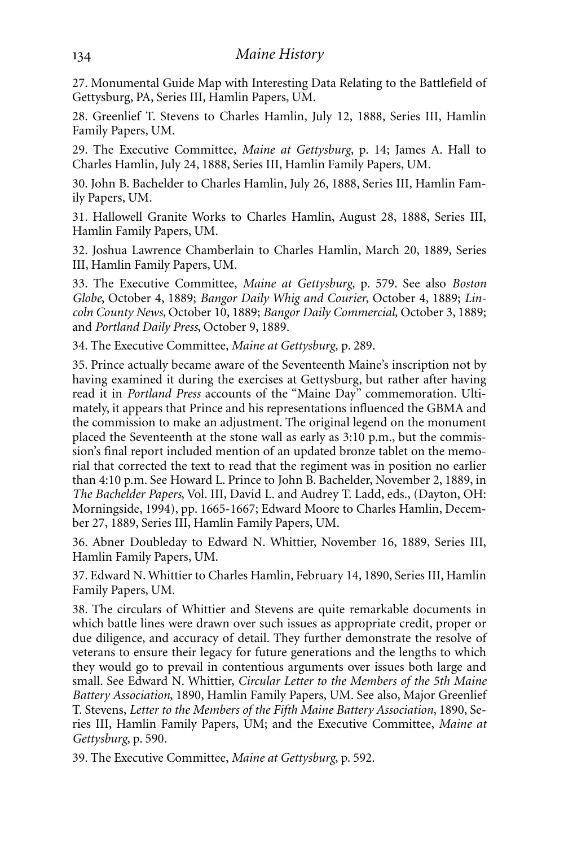27. Monumental Guide Map with Interesting Data Relating to the Battlefield of Gettysburg, PA, Series III, Hamlin Papers, UM.

28. Greenlief T. Stevens to Charles Hamlin, July 12, 1888, Series III, Hamlin Family Papers, UM.

29. The Executive Committee, *Maine at Gettysburg*, p. 14; James A. Hall to Charles Hamlin, July 24, 1888, Series III, Hamlin Family Papers, UM.

30. John B. Bachelder to Charles Hamlin, July 26, 1888, Series III, Hamlin Family Papers, UM.

31. Hallowell Granite Works to Charles Hamlin, August 28, 1888, Series III, Hamlin Family Papers, UM.

32. Joshua Lawrence Chamberlain to Charles Hamlin, March 20, 1889, Series III, Hamlin Family Papers, UM.

33. The Executive Committee, *Maine at Gettysburg*, p. 579. See also *Boston Globe*, October 4, 1889; *Bangor Daily Whig and Courier*, October 4, 1889; *Lincoln County News*, October 10, 1889; *Bangor Daily Commercial,* October 3, 1889; and *Portland Daily Press*, October 9, 1889.

34. The Executive Committee, *Maine at Gettysburg,* p. 289.

35. Prince actually became aware of the Seventeenth Maine's inscription not by having examined it during the exercises at Gettysburg, but rather after having read it in *Portland Press* accounts of the "Maine Day" commemoration. Ultimately, it appears that Prince and his representations influenced the GBMA and the commission to make an adjustment. The original legend on the monument placed the Seventeenth at the stone wall as early as 3:10 p.m., but the commission's final report included mention of an updated bronze tablet on the memorial that corrected the text to read that the regiment was in position no earlier than 4:10 p.m. See Howard L. Prince to John B. Bachelder, November 2, 1889, in *The Bachelder Papers*, Vol. III, David L. and Audrey T. Ladd, eds., (Dayton, OH: Morningside, 1994), pp. 1665-1667; Edward Moore to Charles Hamlin, December 27, 1889, Series III, Hamlin Family Papers, UM.

36. Abner Doubleday to Edward N. Whittier, November 16, 1889, Series III, Hamlin Family Papers, UM.

37. Edward N. Whittier to Charles Hamlin, February 14, 1890, Series III, Hamlin Family Papers, UM.

38. The circulars of Whittier and Stevens are quite remarkable documents in which battle lines were drawn over such issues as appropriate credit, proper or due diligence, and accuracy of detail. They further demonstrate the resolve of veterans to ensure their legacy for future generations and the lengths to which they would go to prevail in contentious arguments over issues both large and small. See Edward N. Whittier, *Circular Letter to the Members of the 5th Maine Battery Association*, 1890, Hamlin Family Papers, UM. See also, Major Greenlief T. Stevens, *Letter to the Members of the Fifth Maine Battery Association*, 1890, Series III, Hamlin Family Papers, UM; and the Executive Committee, *Maine at Gettysburg*, p. 590.

39. The Executive Committee, *Maine at Gettysburg*, p. 592.